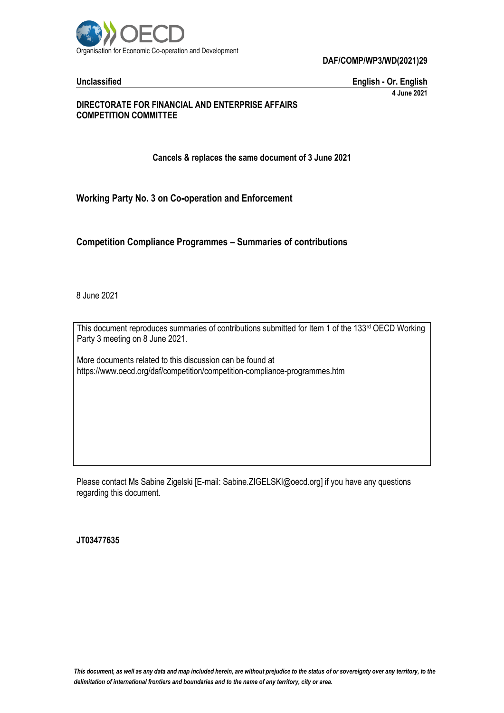

**DAF/COMP/WP3/WD(2021)29**

**Unclassified English - Or. English 4 June 2021**

#### **DIRECTORATE FOR FINANCIAL AND ENTERPRISE AFFAIRS COMPETITION COMMITTEE**

**Cancels & replaces the same document of 3 June 2021**

**Working Party No. 3 on Co-operation and Enforcement**

**Competition Compliance Programmes – Summaries of contributions**

8 June 2021

This document reproduces summaries of contributions submitted for Item 1 of the 133rd OECD Working Party 3 meeting on 8 June 2021.

More documents related to this discussion can be found at https://www.oecd.org/daf/competition/competition-compliance-programmes.htm

Please contact Ms Sabine Zigelski [E-mail: Sabine.ZIGELSKI@oecd.org] if you have any questions regarding this document.

**JT03477635**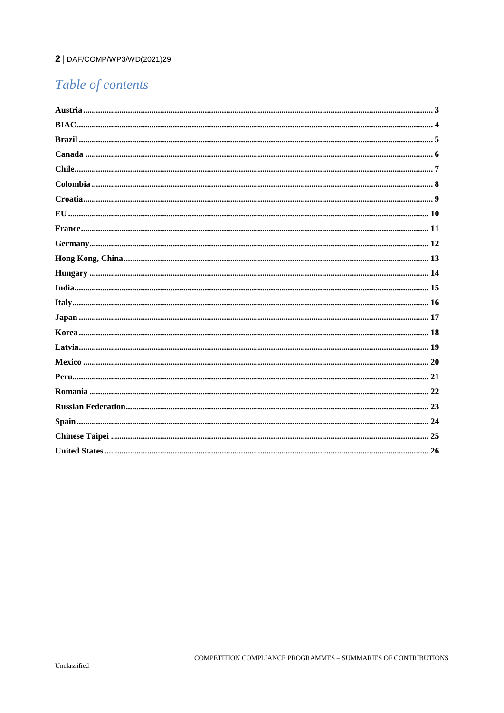#### 2 | DAF/COMP/WP3/WD(2021)29

# Table of contents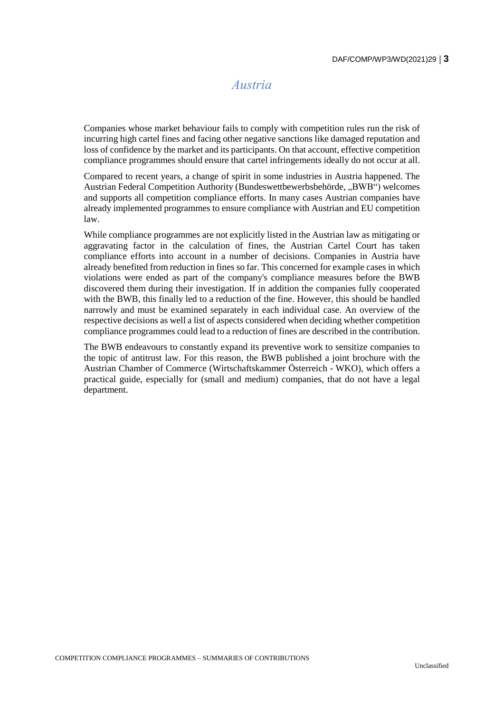### *Austria*

<span id="page-2-0"></span>Companies whose market behaviour fails to comply with competition rules run the risk of incurring high cartel fines and facing other negative sanctions like damaged reputation and loss of confidence by the market and its participants. On that account, effective competition compliance programmes should ensure that cartel infringements ideally do not occur at all.

Compared to recent years, a change of spirit in some industries in Austria happened. The Austrian Federal Competition Authority (Bundeswettbewerbsbehörde, "BWB") welcomes and supports all competition compliance efforts. In many cases Austrian companies have already implemented programmes to ensure compliance with Austrian and EU competition law.

While compliance programmes are not explicitly listed in the Austrian law as mitigating or aggravating factor in the calculation of fines, the Austrian Cartel Court has taken compliance efforts into account in a number of decisions. Companies in Austria have already benefited from reduction in fines so far. This concerned for example cases in which violations were ended as part of the company's compliance measures before the BWB discovered them during their investigation. If in addition the companies fully cooperated with the BWB, this finally led to a reduction of the fine. However, this should be handled narrowly and must be examined separately in each individual case. An overview of the respective decisions as well a list of aspects considered when deciding whether competition compliance programmes could lead to a reduction of fines are described in the contribution.

The BWB endeavours to constantly expand its preventive work to sensitize companies to the topic of antitrust law. For this reason, the BWB published a joint brochure with the Austrian Chamber of Commerce (Wirtschaftskammer Österreich - WKO), which offers a practical guide, especially for (small and medium) companies, that do not have a legal department.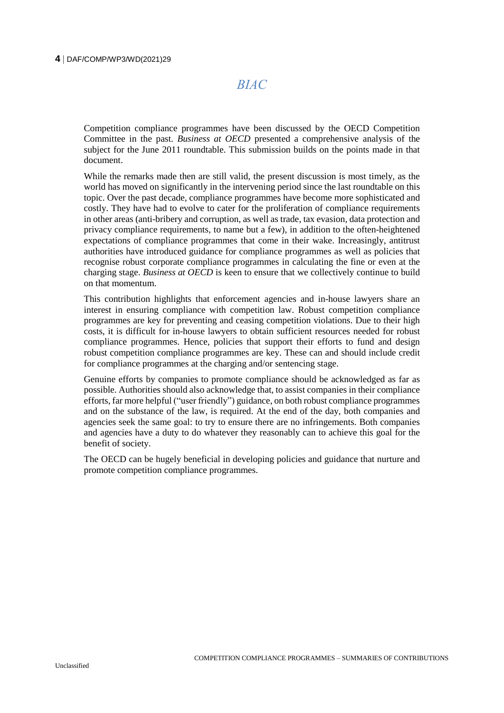#### <span id="page-3-0"></span>**4** DAF/COMP/WP3/WD(2021)29

*BIAC*

Competition compliance programmes have been discussed by the OECD Competition Committee in the past. *Business at OECD* presented a comprehensive analysis of the subject for the June 2011 roundtable. This submission builds on the points made in that document.

While the remarks made then are still valid, the present discussion is most timely, as the world has moved on significantly in the intervening period since the last roundtable on this topic. Over the past decade, compliance programmes have become more sophisticated and costly. They have had to evolve to cater for the proliferation of compliance requirements in other areas (anti-bribery and corruption, as well as trade, tax evasion, data protection and privacy compliance requirements, to name but a few), in addition to the often-heightened expectations of compliance programmes that come in their wake. Increasingly, antitrust authorities have introduced guidance for compliance programmes as well as policies that recognise robust corporate compliance programmes in calculating the fine or even at the charging stage. *Business at OECD* is keen to ensure that we collectively continue to build on that momentum.

This contribution highlights that enforcement agencies and in-house lawyers share an interest in ensuring compliance with competition law. Robust competition compliance programmes are key for preventing and ceasing competition violations. Due to their high costs, it is difficult for in-house lawyers to obtain sufficient resources needed for robust compliance programmes. Hence, policies that support their efforts to fund and design robust competition compliance programmes are key. These can and should include credit for compliance programmes at the charging and/or sentencing stage.

Genuine efforts by companies to promote compliance should be acknowledged as far as possible. Authorities should also acknowledge that, to assist companies in their compliance efforts, far more helpful ("user friendly") guidance, on both robust compliance programmes and on the substance of the law, is required. At the end of the day, both companies and agencies seek the same goal: to try to ensure there are no infringements. Both companies and agencies have a duty to do whatever they reasonably can to achieve this goal for the benefit of society.

The OECD can be hugely beneficial in developing policies and guidance that nurture and promote competition compliance programmes.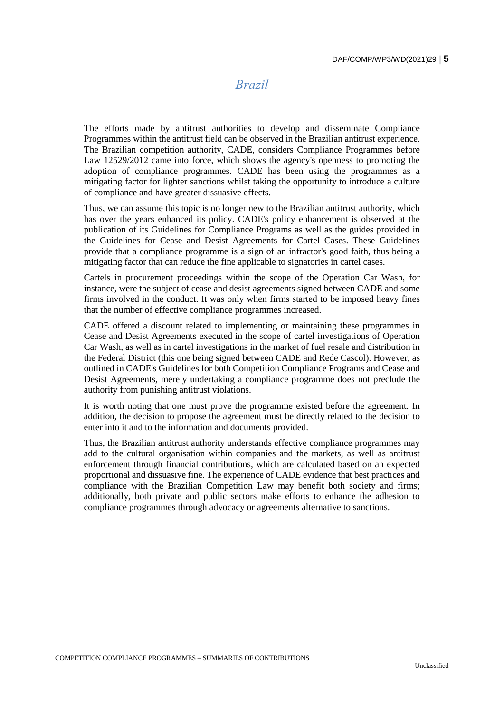### *Brazil*

<span id="page-4-0"></span>The efforts made by antitrust authorities to develop and disseminate Compliance Programmes within the antitrust field can be observed in the Brazilian antitrust experience. The Brazilian competition authority, CADE, considers Compliance Programmes before Law 12529/2012 came into force, which shows the agency's openness to promoting the adoption of compliance programmes. CADE has been using the programmes as a mitigating factor for lighter sanctions whilst taking the opportunity to introduce a culture of compliance and have greater dissuasive effects.

Thus, we can assume this topic is no longer new to the Brazilian antitrust authority, which has over the years enhanced its policy. CADE's policy enhancement is observed at the publication of its Guidelines for Compliance Programs as well as the guides provided in the Guidelines for Cease and Desist Agreements for Cartel Cases. These Guidelines provide that a compliance programme is a sign of an infractor's good faith, thus being a mitigating factor that can reduce the fine applicable to signatories in cartel cases.

Cartels in procurement proceedings within the scope of the Operation Car Wash, for instance, were the subject of cease and desist agreements signed between CADE and some firms involved in the conduct. It was only when firms started to be imposed heavy fines that the number of effective compliance programmes increased.

CADE offered a discount related to implementing or maintaining these programmes in Cease and Desist Agreements executed in the scope of cartel investigations of Operation Car Wash, as well as in cartel investigations in the market of fuel resale and distribution in the Federal District (this one being signed between CADE and Rede Cascol). However, as outlined in CADE's Guidelines for both Competition Compliance Programs and Cease and Desist Agreements, merely undertaking a compliance programme does not preclude the authority from punishing antitrust violations.

It is worth noting that one must prove the programme existed before the agreement. In addition, the decision to propose the agreement must be directly related to the decision to enter into it and to the information and documents provided.

Thus, the Brazilian antitrust authority understands effective compliance programmes may add to the cultural organisation within companies and the markets, as well as antitrust enforcement through financial contributions, which are calculated based on an expected proportional and dissuasive fine. The experience of CADE evidence that best practices and compliance with the Brazilian Competition Law may benefit both society and firms; additionally, both private and public sectors make efforts to enhance the adhesion to compliance programmes through advocacy or agreements alternative to sanctions.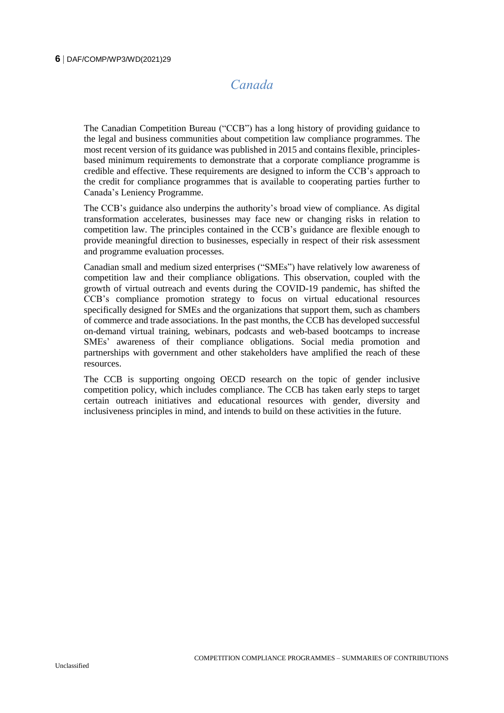# *Canada*

<span id="page-5-0"></span>The Canadian Competition Bureau ("CCB") has a long history of providing guidance to the legal and business communities about competition law compliance programmes. The most recent version of its guidance was published in 2015 and contains flexible, principlesbased minimum requirements to demonstrate that a corporate compliance programme is credible and effective. These requirements are designed to inform the CCB's approach to the credit for compliance programmes that is available to cooperating parties further to Canada's Leniency Programme.

The CCB's guidance also underpins the authority's broad view of compliance. As digital transformation accelerates, businesses may face new or changing risks in relation to competition law. The principles contained in the CCB's guidance are flexible enough to provide meaningful direction to businesses, especially in respect of their risk assessment and programme evaluation processes.

Canadian small and medium sized enterprises ("SMEs") have relatively low awareness of competition law and their compliance obligations. This observation, coupled with the growth of virtual outreach and events during the COVID-19 pandemic, has shifted the CCB's compliance promotion strategy to focus on virtual educational resources specifically designed for SMEs and the organizations that support them, such as chambers of commerce and trade associations. In the past months, the CCB has developed successful on-demand virtual training, webinars, podcasts and web-based bootcamps to increase SMEs' awareness of their compliance obligations. Social media promotion and partnerships with government and other stakeholders have amplified the reach of these resources.

The CCB is supporting ongoing OECD research on the topic of gender inclusive competition policy, which includes compliance. The CCB has taken early steps to target certain outreach initiatives and educational resources with gender, diversity and inclusiveness principles in mind, and intends to build on these activities in the future.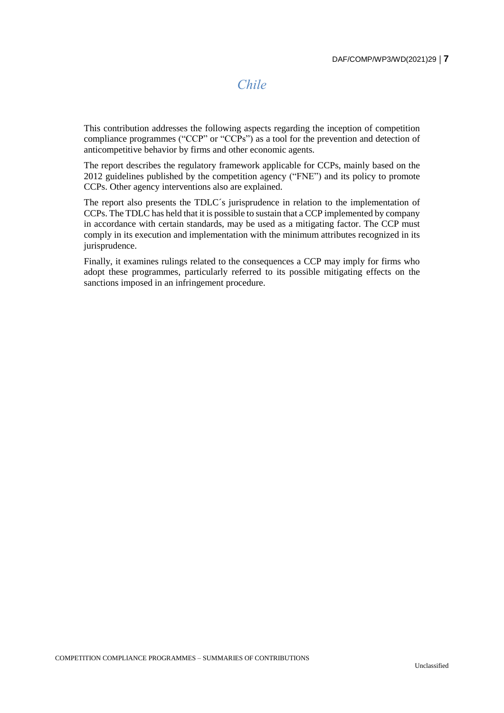#### *Chile*

<span id="page-6-0"></span>This contribution addresses the following aspects regarding the inception of competition compliance programmes ("CCP" or "CCPs") as a tool for the prevention and detection of anticompetitive behavior by firms and other economic agents.

The report describes the regulatory framework applicable for CCPs, mainly based on the 2012 guidelines published by the competition agency ("FNE") and its policy to promote CCPs. Other agency interventions also are explained.

The report also presents the TDLC´s jurisprudence in relation to the implementation of CCPs. The TDLC has held that it is possible to sustain that a CCP implemented by company in accordance with certain standards, may be used as a mitigating factor. The CCP must comply in its execution and implementation with the minimum attributes recognized in its jurisprudence.

Finally, it examines rulings related to the consequences a CCP may imply for firms who adopt these programmes, particularly referred to its possible mitigating effects on the sanctions imposed in an infringement procedure.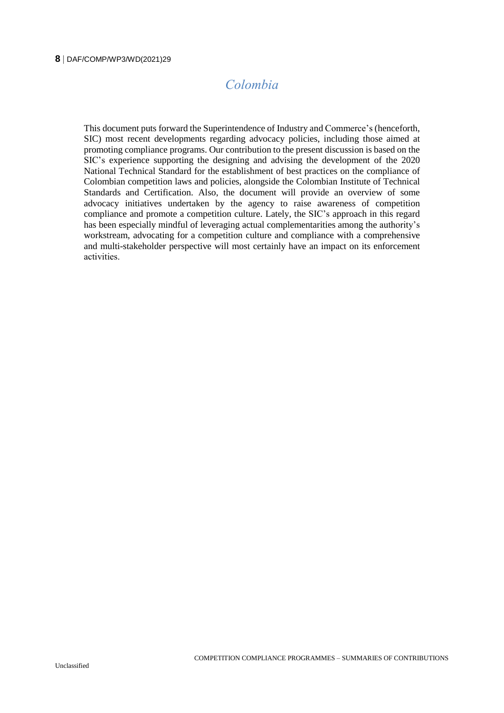#### <span id="page-7-0"></span>**8** DAF/COMP/WP3/WD(2021)29

# *Colombia*

This document puts forward the Superintendence of Industry and Commerce's (henceforth, SIC) most recent developments regarding advocacy policies, including those aimed at promoting compliance programs. Our contribution to the present discussion is based on the SIC's experience supporting the designing and advising the development of the 2020 National Technical Standard for the establishment of best practices on the compliance of Colombian competition laws and policies, alongside the Colombian Institute of Technical Standards and Certification. Also, the document will provide an overview of some advocacy initiatives undertaken by the agency to raise awareness of competition compliance and promote a competition culture. Lately, the SIC's approach in this regard has been especially mindful of leveraging actual complementarities among the authority's workstream, advocating for a competition culture and compliance with a comprehensive and multi-stakeholder perspective will most certainly have an impact on its enforcement activities.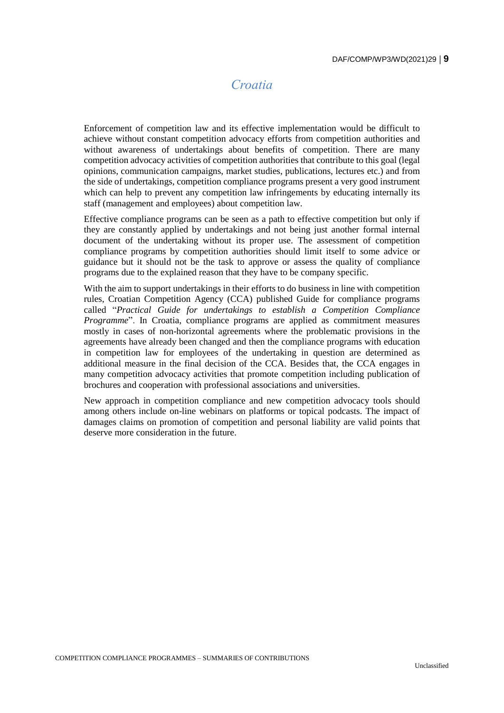# *Croatia*

<span id="page-8-0"></span>Enforcement of competition law and its effective implementation would be difficult to achieve without constant competition advocacy efforts from competition authorities and without awareness of undertakings about benefits of competition. There are many competition advocacy activities of competition authorities that contribute to this goal (legal opinions, communication campaigns, market studies, publications, lectures etc.) and from the side of undertakings, competition compliance programs present a very good instrument which can help to prevent any competition law infringements by educating internally its staff (management and employees) about competition law.

Effective compliance programs can be seen as a path to effective competition but only if they are constantly applied by undertakings and not being just another formal internal document of the undertaking without its proper use. The assessment of competition compliance programs by competition authorities should limit itself to some advice or guidance but it should not be the task to approve or assess the quality of compliance programs due to the explained reason that they have to be company specific.

With the aim to support undertakings in their efforts to do business in line with competition rules, Croatian Competition Agency (CCA) published Guide for compliance programs called "*Practical Guide for undertakings to establish a Competition Compliance Programme*". In Croatia, compliance programs are applied as commitment measures mostly in cases of non-horizontal agreements where the problematic provisions in the agreements have already been changed and then the compliance programs with education in competition law for employees of the undertaking in question are determined as additional measure in the final decision of the CCA. Besides that, the CCA engages in many competition advocacy activities that promote competition including publication of brochures and cooperation with professional associations and universities.

New approach in competition compliance and new competition advocacy tools should among others include on-line webinars on platforms or topical podcasts. The impact of damages claims on promotion of competition and personal liability are valid points that deserve more consideration in the future.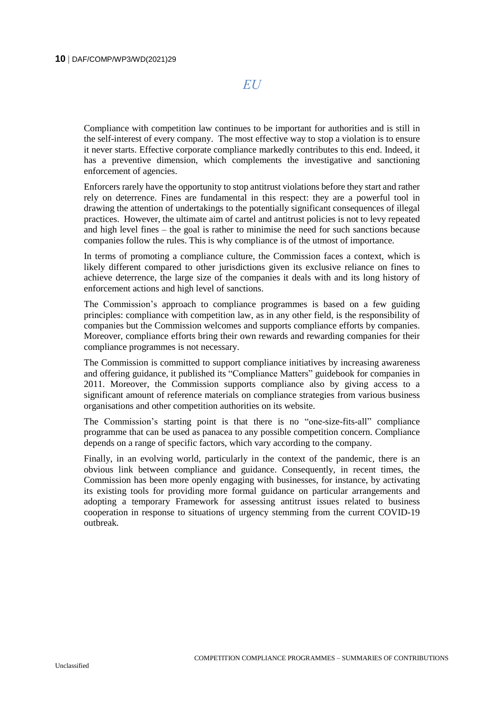*EU*

<span id="page-9-0"></span>Compliance with competition law continues to be important for authorities and is still in the self-interest of every company. The most effective way to stop a violation is to ensure it never starts. Effective corporate compliance markedly contributes to this end. Indeed, it has a preventive dimension, which complements the investigative and sanctioning enforcement of agencies.

Enforcers rarely have the opportunity to stop antitrust violations before they start and rather rely on deterrence. Fines are fundamental in this respect: they are a powerful tool in drawing the attention of undertakings to the potentially significant consequences of illegal practices. However, the ultimate aim of cartel and antitrust policies is not to levy repeated and high level fines – the goal is rather to minimise the need for such sanctions because companies follow the rules. This is why compliance is of the utmost of importance.

In terms of promoting a compliance culture, the Commission faces a context, which is likely different compared to other jurisdictions given its exclusive reliance on fines to achieve deterrence, the large size of the companies it deals with and its long history of enforcement actions and high level of sanctions.

The Commission's approach to compliance programmes is based on a few guiding principles: compliance with competition law, as in any other field, is the responsibility of companies but the Commission welcomes and supports compliance efforts by companies. Moreover, compliance efforts bring their own rewards and rewarding companies for their compliance programmes is not necessary.

The Commission is committed to support compliance initiatives by increasing awareness and offering guidance, it published its "Compliance Matters" guidebook for companies in 2011. Moreover, the Commission supports compliance also by giving access to a significant amount of reference materials on compliance strategies from various business organisations and other competition authorities on its website.

The Commission's starting point is that there is no "one-size-fits-all" compliance programme that can be used as panacea to any possible competition concern. Compliance depends on a range of specific factors, which vary according to the company.

Finally, in an evolving world, particularly in the context of the pandemic, there is an obvious link between compliance and guidance. Consequently, in recent times, the Commission has been more openly engaging with businesses, for instance, by activating its existing tools for providing more formal guidance on particular arrangements and adopting a temporary Framework for assessing antitrust issues related to business cooperation in response to situations of urgency stemming from the current COVID-19 outbreak.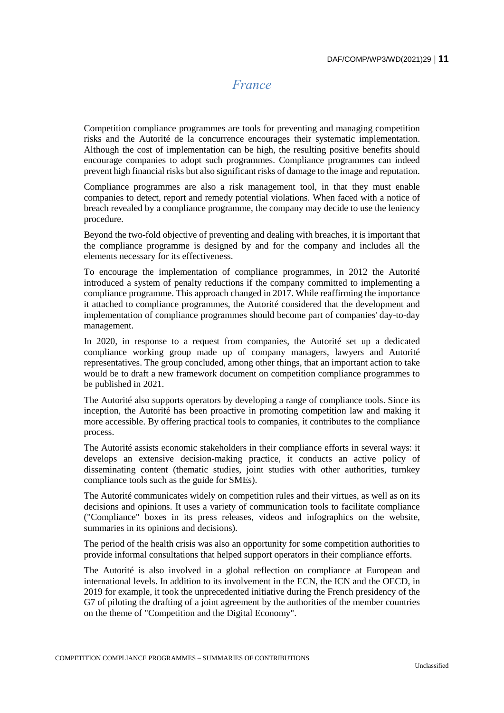# *France*

<span id="page-10-0"></span>Competition compliance programmes are tools for preventing and managing competition risks and the Autorité de la concurrence encourages their systematic implementation. Although the cost of implementation can be high, the resulting positive benefits should encourage companies to adopt such programmes. Compliance programmes can indeed prevent high financial risks but also significant risks of damage to the image and reputation.

Compliance programmes are also a risk management tool, in that they must enable companies to detect, report and remedy potential violations. When faced with a notice of breach revealed by a compliance programme, the company may decide to use the leniency procedure.

Beyond the two-fold objective of preventing and dealing with breaches, it is important that the compliance programme is designed by and for the company and includes all the elements necessary for its effectiveness.

To encourage the implementation of compliance programmes, in 2012 the Autorité introduced a system of penalty reductions if the company committed to implementing a compliance programme. This approach changed in 2017. While reaffirming the importance it attached to compliance programmes, the Autorité considered that the development and implementation of compliance programmes should become part of companies' day-to-day management.

In 2020, in response to a request from companies, the Autorité set up a dedicated compliance working group made up of company managers, lawyers and Autorité representatives. The group concluded, among other things, that an important action to take would be to draft a new framework document on competition compliance programmes to be published in 2021.

The Autorité also supports operators by developing a range of compliance tools. Since its inception, the Autorité has been proactive in promoting competition law and making it more accessible. By offering practical tools to companies, it contributes to the compliance process.

The Autorité assists economic stakeholders in their compliance efforts in several ways: it develops an extensive decision-making practice, it conducts an active policy of disseminating content (thematic studies, joint studies with other authorities, turnkey compliance tools such as the guide for SMEs).

The Autorité communicates widely on competition rules and their virtues, as well as on its decisions and opinions. It uses a variety of communication tools to facilitate compliance ("Compliance" boxes in its press releases, videos and infographics on the website, summaries in its opinions and decisions).

The period of the health crisis was also an opportunity for some competition authorities to provide informal consultations that helped support operators in their compliance efforts.

The Autorité is also involved in a global reflection on compliance at European and international levels. In addition to its involvement in the ECN, the ICN and the OECD, in 2019 for example, it took the unprecedented initiative during the French presidency of the G7 of piloting the drafting of a joint agreement by the authorities of the member countries on the theme of "Competition and the Digital Economy".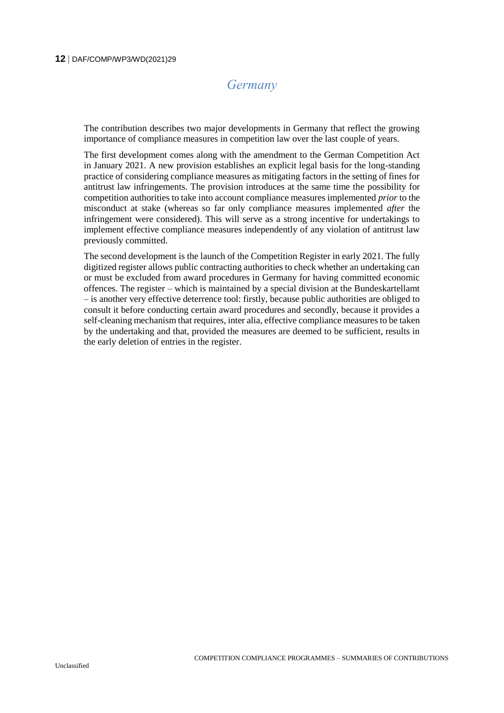# *Germany*

<span id="page-11-0"></span>The contribution describes two major developments in Germany that reflect the growing importance of compliance measures in competition law over the last couple of years.

The first development comes along with the amendment to the German Competition Act in January 2021. A new provision establishes an explicit legal basis for the long-standing practice of considering compliance measures as mitigating factors in the setting of fines for antitrust law infringements. The provision introduces at the same time the possibility for competition authorities to take into account compliance measures implemented *prior* to the misconduct at stake (whereas so far only compliance measures implemented *after* the infringement were considered). This will serve as a strong incentive for undertakings to implement effective compliance measures independently of any violation of antitrust law previously committed.

The second development is the launch of the Competition Register in early 2021. The fully digitized register allows public contracting authorities to check whether an undertaking can or must be excluded from award procedures in Germany for having committed economic offences. The register – which is maintained by a special division at the Bundeskartellamt – is another very effective deterrence tool: firstly, because public authorities are obliged to consult it before conducting certain award procedures and secondly, because it provides a self-cleaning mechanism that requires, inter alia, effective compliance measures to be taken by the undertaking and that, provided the measures are deemed to be sufficient, results in the early deletion of entries in the register.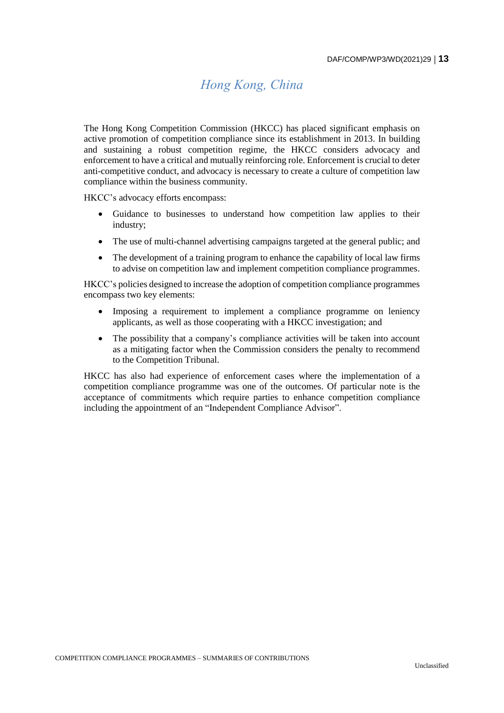# *Hong Kong, China*

<span id="page-12-0"></span>The Hong Kong Competition Commission (HKCC) has placed significant emphasis on active promotion of competition compliance since its establishment in 2013. In building and sustaining a robust competition regime, the HKCC considers advocacy and enforcement to have a critical and mutually reinforcing role. Enforcement is crucial to deter anti-competitive conduct, and advocacy is necessary to create a culture of competition law compliance within the business community.

HKCC's advocacy efforts encompass:

- Guidance to businesses to understand how competition law applies to their industry;
- The use of multi-channel advertising campaigns targeted at the general public; and
- The development of a training program to enhance the capability of local law firms to advise on competition law and implement competition compliance programmes.

HKCC's policies designed to increase the adoption of competition compliance programmes encompass two key elements:

- Imposing a requirement to implement a compliance programme on leniency applicants, as well as those cooperating with a HKCC investigation; and
- The possibility that a company's compliance activities will be taken into account as a mitigating factor when the Commission considers the penalty to recommend to the Competition Tribunal.

HKCC has also had experience of enforcement cases where the implementation of a competition compliance programme was one of the outcomes. Of particular note is the acceptance of commitments which require parties to enhance competition compliance including the appointment of an "Independent Compliance Advisor".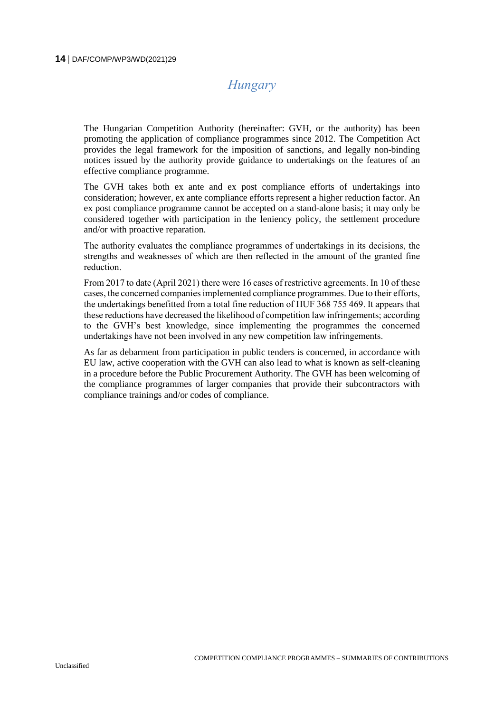# *Hungary*

<span id="page-13-0"></span>The Hungarian Competition Authority (hereinafter: GVH, or the authority) has been promoting the application of compliance programmes since 2012. The Competition Act provides the legal framework for the imposition of sanctions, and legally non-binding notices issued by the authority provide guidance to undertakings on the features of an effective compliance programme.

The GVH takes both ex ante and ex post compliance efforts of undertakings into consideration; however, ex ante compliance efforts represent a higher reduction factor. An ex post compliance programme cannot be accepted on a stand-alone basis; it may only be considered together with participation in the leniency policy, the settlement procedure and/or with proactive reparation.

The authority evaluates the compliance programmes of undertakings in its decisions, the strengths and weaknesses of which are then reflected in the amount of the granted fine reduction.

From 2017 to date (April 2021) there were 16 cases of restrictive agreements. In 10 of these cases, the concerned companiesimplemented compliance programmes. Due to their efforts, the undertakings benefitted from a total fine reduction of HUF 368 755 469. It appears that these reductions have decreased the likelihood of competition law infringements; according to the GVH's best knowledge, since implementing the programmes the concerned undertakings have not been involved in any new competition law infringements.

As far as debarment from participation in public tenders is concerned, in accordance with EU law, active cooperation with the GVH can also lead to what is known as self-cleaning in a procedure before the Public Procurement Authority. The GVH has been welcoming of the compliance programmes of larger companies that provide their subcontractors with compliance trainings and/or codes of compliance.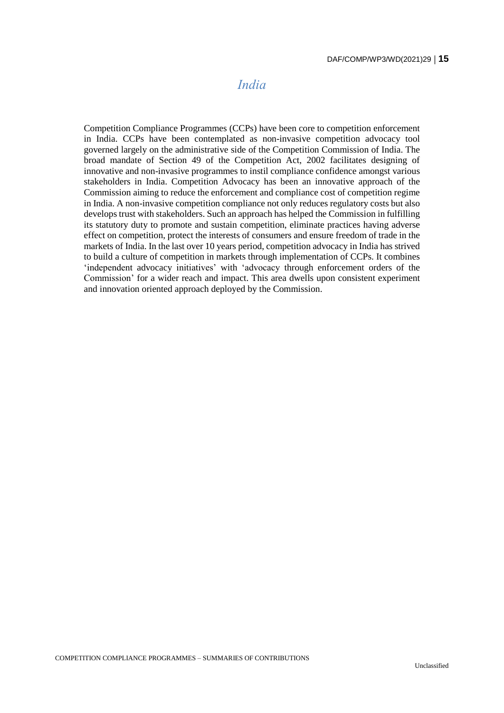#### *India*

<span id="page-14-0"></span>Competition Compliance Programmes (CCPs) have been core to competition enforcement in India. CCPs have been contemplated as non-invasive competition advocacy tool governed largely on the administrative side of the Competition Commission of India. The broad mandate of Section 49 of the Competition Act, 2002 facilitates designing of innovative and non-invasive programmes to instil compliance confidence amongst various stakeholders in India. Competition Advocacy has been an innovative approach of the Commission aiming to reduce the enforcement and compliance cost of competition regime in India. A non-invasive competition compliance not only reduces regulatory costs but also develops trust with stakeholders. Such an approach has helped the Commission in fulfilling its statutory duty to promote and sustain competition, eliminate practices having adverse effect on competition, protect the interests of consumers and ensure freedom of trade in the markets of India. In the last over 10 years period, competition advocacy in India has strived to build a culture of competition in markets through implementation of CCPs. It combines 'independent advocacy initiatives' with 'advocacy through enforcement orders of the Commission' for a wider reach and impact. This area dwells upon consistent experiment and innovation oriented approach deployed by the Commission.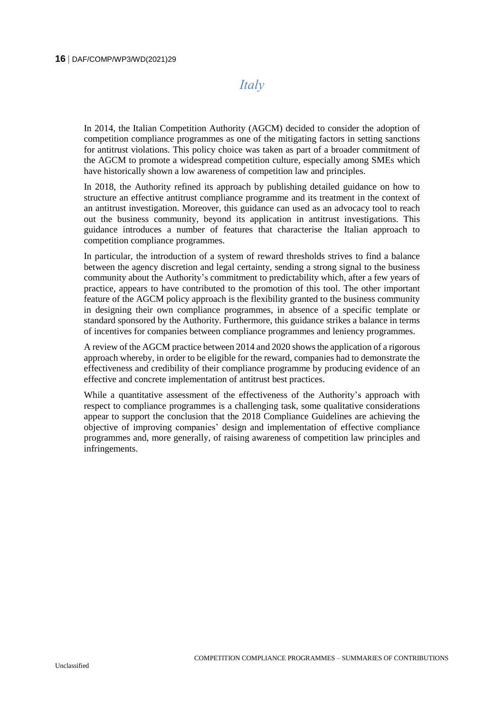### *Italy*

<span id="page-15-0"></span>In 2014, the Italian Competition Authority (AGCM) decided to consider the adoption of competition compliance programmes as one of the mitigating factors in setting sanctions for antitrust violations. This policy choice was taken as part of a broader commitment of the AGCM to promote a widespread competition culture, especially among SMEs which have historically shown a low awareness of competition law and principles.

In 2018, the Authority refined its approach by publishing detailed guidance on how to structure an effective antitrust compliance programme and its treatment in the context of an antitrust investigation. Moreover, this guidance can used as an advocacy tool to reach out the business community, beyond its application in antitrust investigations. This guidance introduces a number of features that characterise the Italian approach to competition compliance programmes.

In particular, the introduction of a system of reward thresholds strives to find a balance between the agency discretion and legal certainty, sending a strong signal to the business community about the Authority's commitment to predictability which, after a few years of practice, appears to have contributed to the promotion of this tool. The other important feature of the AGCM policy approach is the flexibility granted to the business community in designing their own compliance programmes, in absence of a specific template or standard sponsored by the Authority. Furthermore, this guidance strikes a balance in terms of incentives for companies between compliance programmes and leniency programmes.

A review of the AGCM practice between 2014 and 2020 showsthe application of a rigorous approach whereby, in order to be eligible for the reward, companies had to demonstrate the effectiveness and credibility of their compliance programme by producing evidence of an effective and concrete implementation of antitrust best practices.

While a quantitative assessment of the effectiveness of the Authority's approach with respect to compliance programmes is a challenging task, some qualitative considerations appear to support the conclusion that the 2018 Compliance Guidelines are achieving the objective of improving companies' design and implementation of effective compliance programmes and, more generally, of raising awareness of competition law principles and infringements.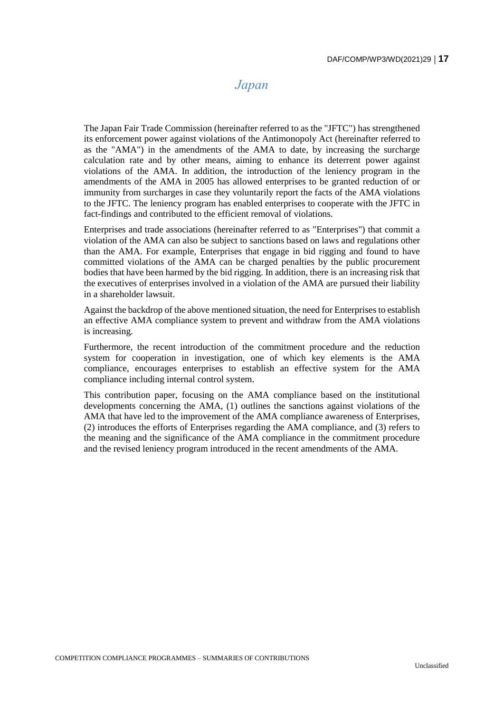## *Japan*

<span id="page-16-0"></span>The Japan Fair Trade Commission (hereinafter referred to as the "JFTC") has strengthened its enforcement power against violations of the Antimonopoly Act (hereinafter referred to as the "AMA") in the amendments of the AMA to date, by increasing the surcharge calculation rate and by other means, aiming to enhance its deterrent power against violations of the AMA. In addition, the introduction of the leniency program in the amendments of the AMA in 2005 has allowed enterprises to be granted reduction of or immunity from surcharges in case they voluntarily report the facts of the AMA violations to the JFTC. The leniency program has enabled enterprises to cooperate with the JFTC in fact-findings and contributed to the efficient removal of violations.

Enterprises and trade associations (hereinafter referred to as "Enterprises") that commit a violation of the AMA can also be subject to sanctions based on laws and regulations other than the AMA. For example, Enterprises that engage in bid rigging and found to have committed violations of the AMA can be charged penalties by the public procurement bodies that have been harmed by the bid rigging. In addition, there is an increasing risk that the executives of enterprises involved in a violation of the AMA are pursued their liability in a shareholder lawsuit.

Against the backdrop of the above mentioned situation, the need for Enterprises to establish an effective AMA compliance system to prevent and withdraw from the AMA violations is increasing.

Furthermore, the recent introduction of the commitment procedure and the reduction system for cooperation in investigation, one of which key elements is the AMA compliance, encourages enterprises to establish an effective system for the AMA compliance including internal control system.

This contribution paper, focusing on the AMA compliance based on the institutional developments concerning the AMA, (1) outlines the sanctions against violations of the AMA that have led to the improvement of the AMA compliance awareness of Enterprises, (2) introduces the efforts of Enterprises regarding the AMA compliance, and (3) refers to the meaning and the significance of the AMA compliance in the commitment procedure and the revised leniency program introduced in the recent amendments of the AMA.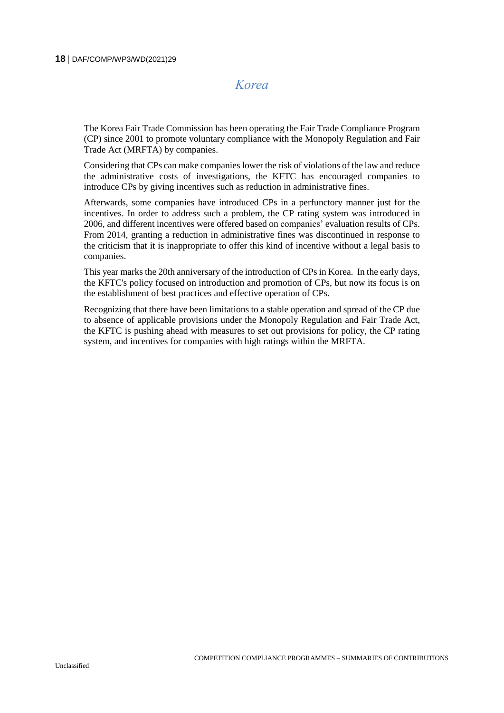#### <span id="page-17-0"></span>**18** DAF/COMP/WP3/WD(2021)29

# *Korea*

The Korea Fair Trade Commission has been operating the Fair Trade Compliance Program (CP) since 2001 to promote voluntary compliance with the Monopoly Regulation and Fair Trade Act (MRFTA) by companies.

Considering that CPs can make companies lower the risk of violations of the law and reduce the administrative costs of investigations, the KFTC has encouraged companies to introduce CPs by giving incentives such as reduction in administrative fines.

Afterwards, some companies have introduced CPs in a perfunctory manner just for the incentives. In order to address such a problem, the CP rating system was introduced in 2006, and different incentives were offered based on companies' evaluation results of CPs. From 2014, granting a reduction in administrative fines was discontinued in response to the criticism that it is inappropriate to offer this kind of incentive without a legal basis to companies.

This year marks the 20th anniversary of the introduction of CPs in Korea. In the early days, the KFTC's policy focused on introduction and promotion of CPs, but now its focus is on the establishment of best practices and effective operation of CPs.

Recognizing that there have been limitations to a stable operation and spread of the CP due to absence of applicable provisions under the Monopoly Regulation and Fair Trade Act, the KFTC is pushing ahead with measures to set out provisions for policy, the CP rating system, and incentives for companies with high ratings within the MRFTA.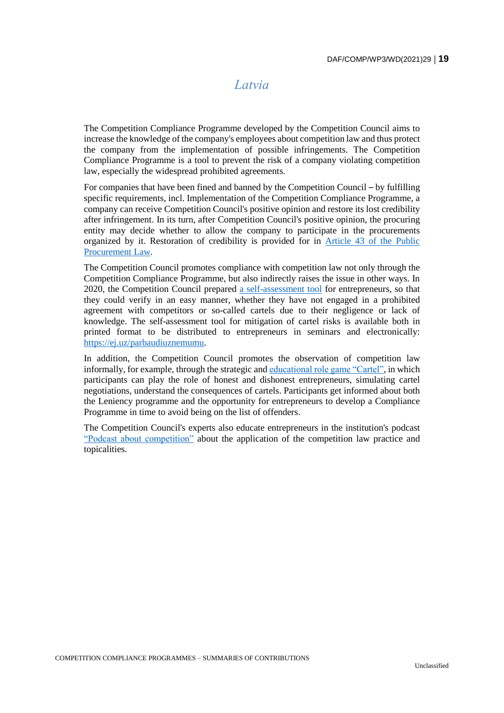### *Latvia*

<span id="page-18-0"></span>The Competition Compliance Programme developed by the Competition Council aims to increase the knowledge of the company's employees about competition law and thus protect the company from the implementation of possible infringements. The Competition Compliance Programme is a tool to prevent the risk of a company violating competition law, especially the widespread prohibited agreements.

For companies that have been fined and banned by the Competition Council – by fulfilling specific requirements, incl. Implementation of the Competition Compliance Programme, a company can receive Competition Council's positive opinion and restore its lost credibility after infringement. In its turn, after Competition Council's positive opinion, the procuring entity may decide whether to allow the company to participate in the procurements organized by it. Restoration of credibility is provided for in [Article 43 of the Public](https://likumi.lv/ta/en/en/id/287760-public-procurement-law)  [Procurement Law.](https://likumi.lv/ta/en/en/id/287760-public-procurement-law)

The Competition Council promotes compliance with competition law not only through the Competition Compliance Programme, but also indirectly raises the issue in other ways. In 2020, the Competition Council prepared [a self-assessment tool](https://ej.uz/parbaudiuznemumu) for entrepreneurs, so that they could verify in an easy manner, whether they have not engaged in a prohibited agreement with competitors or so-called cartels due to their negligence or lack of knowledge. The self-assessment tool for mitigation of cartel risks is available both in printed format to be distributed to entrepreneurs in seminars and electronically: [https://ej.uz/parbaudiuznemumu.](https://ej.uz/parbaudiuznemumu)

In addition, the Competition Council promotes the observation of competition law informally, for example, through the strategic and [educational role game "Cartel",](https://www.kp.gov.lv/en/media/9077/download) in which participants can play the role of honest and dishonest entrepreneurs, simulating cartel negotiations, understand the consequences of cartels. Participants get informed about both the Leniency programme and the opportunity for entrepreneurs to develop a Compliance Programme in time to avoid being on the list of offenders.

The Competition Council's experts also educate entrepreneurs in the institution's podcast ["Podcast about](https://www.kp.gov.lv/lv/podkasts-par-konkurenci) competition" about the application of the competition law practice and topicalities.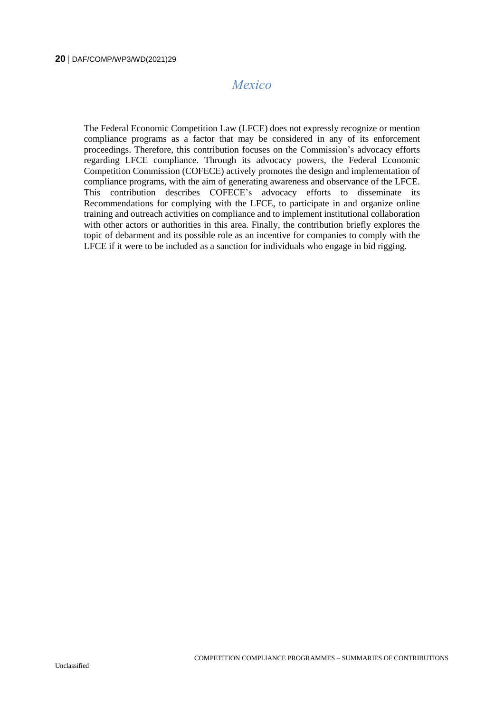## *Mexico*

<span id="page-19-0"></span>The Federal Economic Competition Law (LFCE) does not expressly recognize or mention compliance programs as a factor that may be considered in any of its enforcement proceedings. Therefore, this contribution focuses on the Commission's advocacy efforts regarding LFCE compliance. Through its advocacy powers, the Federal Economic Competition Commission (COFECE) actively promotes the design and implementation of compliance programs, with the aim of generating awareness and observance of the LFCE. This contribution describes COFECE's advocacy efforts to disseminate its Recommendations for complying with the LFCE, to participate in and organize online training and outreach activities on compliance and to implement institutional collaboration with other actors or authorities in this area. Finally, the contribution briefly explores the topic of debarment and its possible role as an incentive for companies to comply with the LFCE if it were to be included as a sanction for individuals who engage in bid rigging.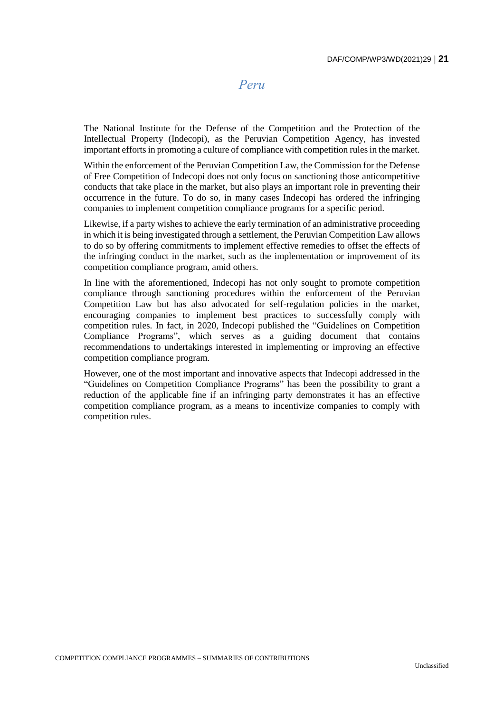#### *Peru*

<span id="page-20-0"></span>The National Institute for the Defense of the Competition and the Protection of the Intellectual Property (Indecopi), as the Peruvian Competition Agency, has invested important efforts in promoting a culture of compliance with competition rules in the market.

Within the enforcement of the Peruvian Competition Law, the Commission for the Defense of Free Competition of Indecopi does not only focus on sanctioning those anticompetitive conducts that take place in the market, but also plays an important role in preventing their occurrence in the future. To do so, in many cases Indecopi has ordered the infringing companies to implement competition compliance programs for a specific period.

Likewise, if a party wishes to achieve the early termination of an administrative proceeding in which it is being investigated through a settlement, the Peruvian Competition Law allows to do so by offering commitments to implement effective remedies to offset the effects of the infringing conduct in the market, such as the implementation or improvement of its competition compliance program, amid others.

In line with the aforementioned, Indecopi has not only sought to promote competition compliance through sanctioning procedures within the enforcement of the Peruvian Competition Law but has also advocated for self-regulation policies in the market, encouraging companies to implement best practices to successfully comply with competition rules. In fact, in 2020, Indecopi published the "Guidelines on Competition Compliance Programs", which serves as a guiding document that contains recommendations to undertakings interested in implementing or improving an effective competition compliance program.

However, one of the most important and innovative aspects that Indecopi addressed in the "Guidelines on Competition Compliance Programs" has been the possibility to grant a reduction of the applicable fine if an infringing party demonstrates it has an effective competition compliance program, as a means to incentivize companies to comply with competition rules.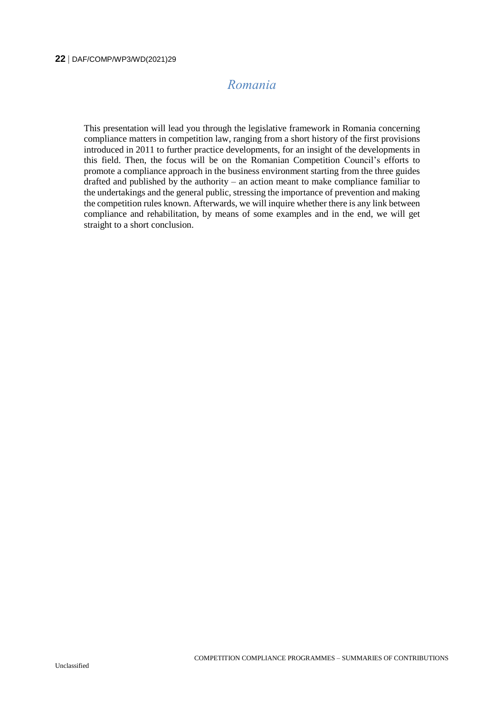# *Romania*

<span id="page-21-0"></span>This presentation will lead you through the legislative framework in Romania concerning compliance matters in competition law, ranging from a short history of the first provisions introduced in 2011 to further practice developments, for an insight of the developments in this field. Then, the focus will be on the Romanian Competition Council's efforts to promote a compliance approach in the business environment starting from the three guides drafted and published by the authority – an action meant to make compliance familiar to the undertakings and the general public, stressing the importance of prevention and making the competition rules known. Afterwards, we will inquire whether there is any link between compliance and rehabilitation, by means of some examples and in the end, we will get straight to a short conclusion.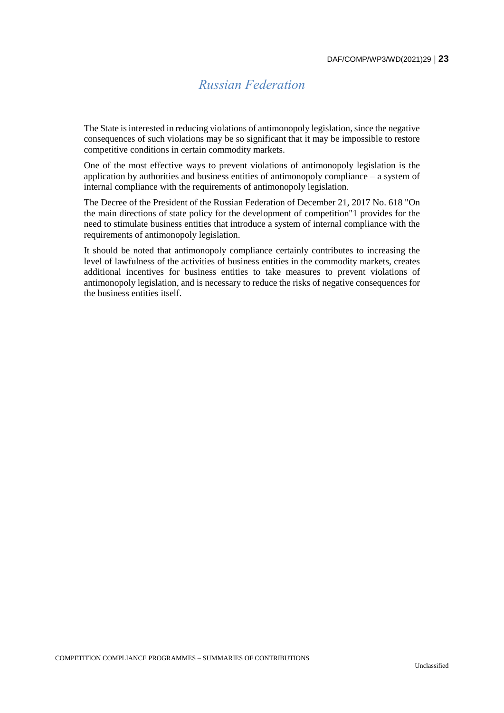# *Russian Federation*

<span id="page-22-0"></span>The State is interested in reducing violations of antimonopoly legislation, since the negative consequences of such violations may be so significant that it may be impossible to restore competitive conditions in certain commodity markets.

One of the most effective ways to prevent violations of antimonopoly legislation is the application by authorities and business entities of antimonopoly compliance  $-$  a system of internal compliance with the requirements of antimonopoly legislation.

The Decree of the President of the Russian Federation of December 21, 2017 No. 618 "On the main directions of state policy for the development of competition"1 provides for the need to stimulate business entities that introduce a system of internal compliance with the requirements of antimonopoly legislation.

It should be noted that antimonopoly compliance certainly contributes to increasing the level of lawfulness of the activities of business entities in the commodity markets, creates additional incentives for business entities to take measures to prevent violations of antimonopoly legislation, and is necessary to reduce the risks of negative consequences for the business entities itself.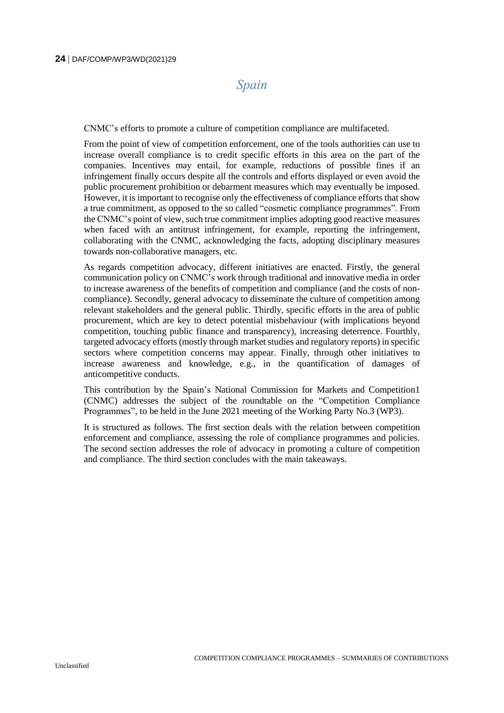### *Spain*

<span id="page-23-0"></span>CNMC's efforts to promote a culture of competition compliance are multifaceted.

From the point of view of competition enforcement, one of the tools authorities can use to increase overall compliance is to credit specific efforts in this area on the part of the companies. Incentives may entail, for example, reductions of possible fines if an infringement finally occurs despite all the controls and efforts displayed or even avoid the public procurement prohibition or debarment measures which may eventually be imposed. However, it is important to recognise only the effectiveness of compliance efforts that show a true commitment, as opposed to the so called "cosmetic compliance programmes". From the CNMC's point of view, such true commitment implies adopting good reactive measures when faced with an antitrust infringement, for example, reporting the infringement, collaborating with the CNMC, acknowledging the facts, adopting disciplinary measures towards non-collaborative managers, etc.

As regards competition advocacy, different initiatives are enacted. Firstly, the general communication policy on CNMC's work through traditional and innovative media in order to increase awareness of the benefits of competition and compliance (and the costs of noncompliance). Secondly, general advocacy to disseminate the culture of competition among relevant stakeholders and the general public. Thirdly, specific efforts in the area of public procurement, which are key to detect potential misbehaviour (with implications beyond competition, touching public finance and transparency), increasing deterrence. Fourthly, targeted advocacy efforts (mostly through market studies and regulatory reports) in specific sectors where competition concerns may appear. Finally, through other initiatives to increase awareness and knowledge, e.g., in the quantification of damages of anticompetitive conducts.

This contribution by the Spain's National Commission for Markets and Competition1 (CNMC) addresses the subject of the roundtable on the "Competition Compliance Programmes", to be held in the June 2021 meeting of the Working Party No.3 (WP3).

It is structured as follows. The first section deals with the relation between competition enforcement and compliance, assessing the role of compliance programmes and policies. The second section addresses the role of advocacy in promoting a culture of competition and compliance. The third section concludes with the main takeaways.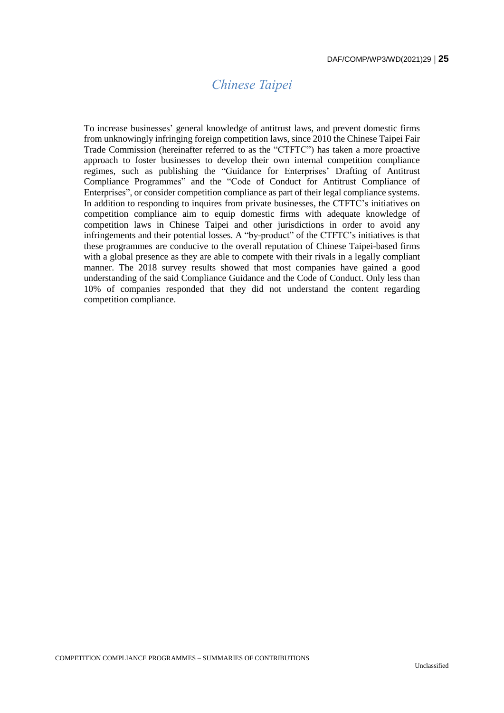# *Chinese Taipei*

<span id="page-24-0"></span>To increase businesses' general knowledge of antitrust laws, and prevent domestic firms from unknowingly infringing foreign competition laws, since 2010 the Chinese Taipei Fair Trade Commission (hereinafter referred to as the "CTFTC") has taken a more proactive approach to foster businesses to develop their own internal competition compliance regimes, such as publishing the "Guidance for Enterprises' Drafting of Antitrust Compliance Programmes" and the "Code of Conduct for Antitrust Compliance of Enterprises", or consider competition compliance as part of their legal compliance systems. In addition to responding to inquires from private businesses, the CTFTC's initiatives on competition compliance aim to equip domestic firms with adequate knowledge of competition laws in Chinese Taipei and other jurisdictions in order to avoid any infringements and their potential losses. A "by-product" of the CTFTC's initiatives is that these programmes are conducive to the overall reputation of Chinese Taipei-based firms with a global presence as they are able to compete with their rivals in a legally compliant manner. The 2018 survey results showed that most companies have gained a good understanding of the said Compliance Guidance and the Code of Conduct. Only less than 10% of companies responded that they did not understand the content regarding competition compliance.